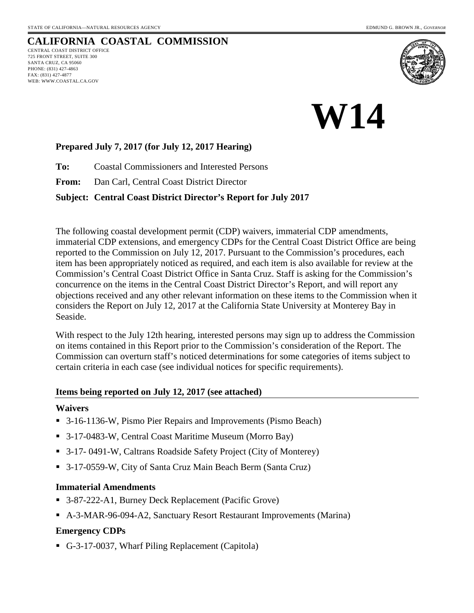WEB: WWW.COASTAL.CA.GOV

#### **CALIFORNIA COASTAL COMMISSION** CENTRAL COAST DISTRICT OFFICE 725 FRONT STREET, SUITE 300 SANTA CRUZ, CA 95060 PHONE: (831) 427-4863 FAX: (831) 427-4877



# **W14**

#### **Prepared July 7, 2017 (for July 12, 2017 Hearing)**

**To:** Coastal Commissioners and Interested Persons

**From:** Dan Carl, Central Coast District Director

#### **Subject: Central Coast District Director's Report for July 2017**

The following coastal development permit (CDP) waivers, immaterial CDP amendments, immaterial CDP extensions, and emergency CDPs for the Central Coast District Office are being reported to the Commission on July 12, 2017. Pursuant to the Commission's procedures, each item has been appropriately noticed as required, and each item is also available for review at the Commission's Central Coast District Office in Santa Cruz. Staff is asking for the Commission's concurrence on the items in the Central Coast District Director's Report, and will report any objections received and any other relevant information on these items to the Commission when it considers the Report on July 12, 2017 at the California State University at Monterey Bay in Seaside.

With respect to the July 12th hearing, interested persons may sign up to address the Commission on items contained in this Report prior to the Commission's consideration of the Report. The Commission can overturn staff's noticed determinations for some categories of items subject to certain criteria in each case (see individual notices for specific requirements).

#### **Items being reported on July 12, 2017 (see attached)**

#### **Waivers**

- 3-16-1136-W, Pismo Pier Repairs and Improvements (Pismo Beach)
- 3-17-0483-W, Central Coast Maritime Museum (Morro Bay)
- 3-17- 0491-W, Caltrans Roadside Safety Project (City of Monterey)
- 3-17-0559-W, City of Santa Cruz Main Beach Berm (Santa Cruz)

#### **Immaterial Amendments**

- 3-87-222-A1, Burney Deck Replacement (Pacific Grove)
- A-3-MAR-96-094-A2, Sanctuary Resort Restaurant Improvements (Marina)

#### **Emergency CDPs**

G-3-17-0037, Wharf Piling Replacement (Capitola)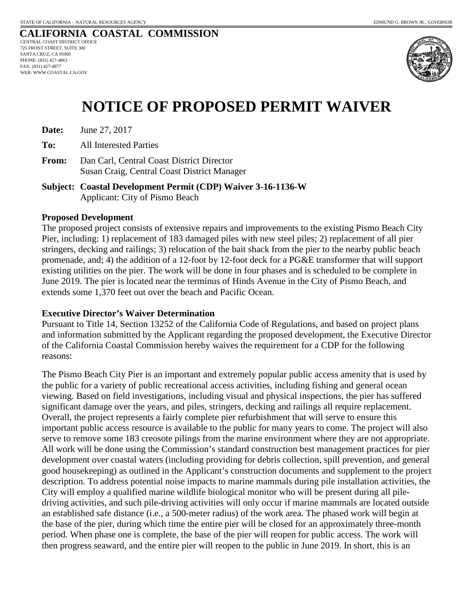

# **NOTICE OF PROPOSED PERMIT WAIVER**

**Date:** June 27, 2017

**To:** All Interested Parties

**From:** Dan Carl, Central Coast District Director Susan Craig, Central Coast District Manager

**Subject: Coastal Development Permit (CDP) Waiver 3-16-1136-W**  Applicant: City of Pismo Beach

#### **Proposed Development**

The proposed project consists of extensive repairs and improvements to the existing Pismo Beach City Pier, including: 1) replacement of 183 damaged piles with new steel piles; 2) replacement of all pier stringers, decking and railings; 3) relocation of the bait shack from the pier to the nearby public beach promenade, and; 4) the addition of a 12-foot by 12-foot deck for a PG&E transformer that will support existing utilities on the pier. The work will be done in four phases and is scheduled to be complete in June 2019. The pier is located near the terminus of Hinds Avenue in the City of Pismo Beach, and extends some 1,370 feet out over the beach and Pacific Ocean.

#### **Executive Director's Waiver Determination**

Pursuant to Title 14, Section 13252 of the California Code of Regulations, and based on project plans and information submitted by the Applicant regarding the proposed development, the Executive Director of the California Coastal Commission hereby waives the requirement for a CDP for the following reasons:

The Pismo Beach City Pier is an important and extremely popular public access amenity that is used by the public for a variety of public recreational access activities, including fishing and general ocean viewing. Based on field investigations, including visual and physical inspections, the pier has suffered significant damage over the years, and piles, stringers, decking and railings all require replacement. Overall, the project represents a fairly complete pier refurbishment that will serve to ensure this important public access resource is available to the public for many years to come. The project will also serve to remove some 183 creosote pilings from the marine environment where they are not appropriate. All work will be done using the Commission's standard construction best management practices for pier development over coastal waters (including providing for debris collection, spill prevention, and general good housekeeping) as outlined in the Applicant's construction documents and supplement to the project description. To address potential noise impacts to marine mammals during pile installation activities, the City will employ a qualified marine wildlife biological monitor who will be present during all piledriving activities, and such pile-driving activities will only occur if marine mammals are located outside an established safe distance (i.e., a 500-meter radius) of the work area. The phased work will begin at the base of the pier, during which time the entire pier will be closed for an approximately three-month period. When phase one is complete, the base of the pier will reopen for public access. The work will then progress seaward, and the entire pier will reopen to the public in June 2019. In short, this is an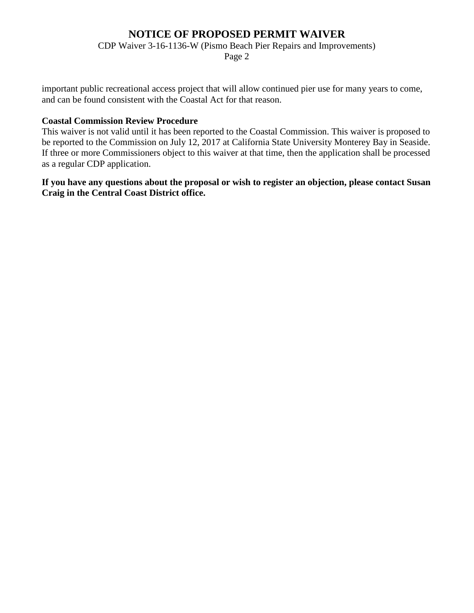### **NOTICE OF PROPOSED PERMIT WAIVER**

CDP Waiver 3-16-1136-W (Pismo Beach Pier Repairs and Improvements)

Page 2

important public recreational access project that will allow continued pier use for many years to come, and can be found consistent with the Coastal Act for that reason.

#### **Coastal Commission Review Procedure**

This waiver is not valid until it has been reported to the Coastal Commission. This waiver is proposed to be reported to the Commission on July 12, 2017 at California State University Monterey Bay in Seaside. If three or more Commissioners object to this waiver at that time, then the application shall be processed as a regular CDP application.

**If you have any questions about the proposal or wish to register an objection, please contact Susan Craig in the Central Coast District office.**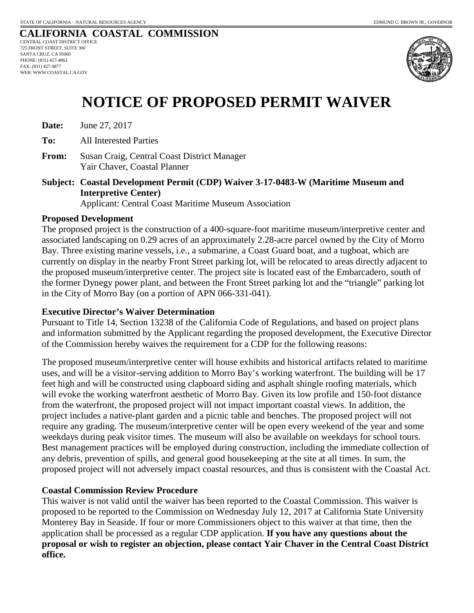

# **NOTICE OF PROPOSED PERMIT WAIVER**

**Date:** June 27, 2017

**To:** All Interested Parties

**From:** Susan Craig, Central Coast District Manager Yair Chaver, Coastal Planner

**Subject: Coastal Development Permit (CDP) Waiver 3-17-0483-W (Maritime Museum and Interpretive Center)** 

Applicant: Central Coast Maritime Museum Association

#### **Proposed Development**

The proposed project is the construction of a 400-square-foot maritime museum/interpretive center and associated landscaping on 0.29 acres of an approximately 2.28-acre parcel owned by the City of Morro Bay. Three existing marine vessels, i.e., a submarine, a Coast Guard boat, and a tugboat, which are currently on display in the nearby Front Street parking lot, will be relocated to areas directly adjacent to the proposed museum/interpretive center. The project site is located east of the Embarcadero, south of the former Dynegy power plant, and between the Front Street parking lot and the "triangle" parking lot in the City of Morro Bay (on a portion of APN 066-331-041).

#### **Executive Director's Waiver Determination**

Pursuant to Title 14, Section 13238 of the California Code of Regulations, and based on project plans and information submitted by the Applicant regarding the proposed development, the Executive Director of the Commission hereby waives the requirement for a CDP for the following reasons:

The proposed museum/interpretive center will house exhibits and historical artifacts related to maritime uses, and will be a visitor-serving addition to Morro Bay's working waterfront. The building will be 17 feet high and will be constructed using clapboard siding and asphalt shingle roofing materials, which will evoke the working waterfront aesthetic of Morro Bay. Given its low profile and 150-foot distance from the waterfront, the proposed project will not impact important coastal views. In addition, the project includes a native-plant garden and a picnic table and benches. The proposed project will not require any grading. The museum/interpretive center will be open every weekend of the year and some weekdays during peak visitor times. The museum will also be available on weekdays for school tours. Best management practices will be employed during construction, including the immediate collection of any debris, prevention of spills, and general good housekeeping at the site at all times. In sum, the proposed project will not adversely impact coastal resources, and thus is consistent with the Coastal Act.

#### **Coastal Commission Review Procedure**

This waiver is not valid until the waiver has been reported to the Coastal Commission. This waiver is proposed to be reported to the Commission on Wednesday July 12, 2017 at California State University Monterey Bay in Seaside. If four or more Commissioners object to this waiver at that time, then the application shall be processed as a regular CDP application. **If you have any questions about the proposal or wish to register an objection, please contact Yair Chaver in the Central Coast District office.**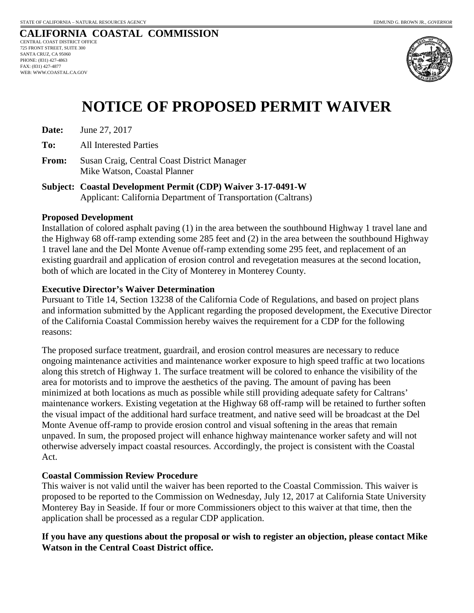

# **NOTICE OF PROPOSED PERMIT WAIVER**

**Date:** June 27, 2017

**To:** All Interested Parties

- **From:** Susan Craig, Central Coast District Manager Mike Watson, Coastal Planner
- **Subject: Coastal Development Permit (CDP) Waiver 3-17-0491-W**  Applicant: California Department of Transportation (Caltrans)

#### **Proposed Development**

Installation of colored asphalt paving (1) in the area between the southbound Highway 1 travel lane and the Highway 68 off-ramp extending some 285 feet and (2) in the area between the southbound Highway 1 travel lane and the Del Monte Avenue off-ramp extending some 295 feet, and replacement of an existing guardrail and application of erosion control and revegetation measures at the second location, both of which are located in the City of Monterey in Monterey County.

#### **Executive Director's Waiver Determination**

Pursuant to Title 14, Section 13238 of the California Code of Regulations, and based on project plans and information submitted by the Applicant regarding the proposed development, the Executive Director of the California Coastal Commission hereby waives the requirement for a CDP for the following reasons:

The proposed surface treatment, guardrail, and erosion control measures are necessary to reduce ongoing maintenance activities and maintenance worker exposure to high speed traffic at two locations along this stretch of Highway 1. The surface treatment will be colored to enhance the visibility of the area for motorists and to improve the aesthetics of the paving. The amount of paving has been minimized at both locations as much as possible while still providing adequate safety for Caltrans' maintenance workers. Existing vegetation at the Highway 68 off-ramp will be retained to further soften the visual impact of the additional hard surface treatment, and native seed will be broadcast at the Del Monte Avenue off-ramp to provide erosion control and visual softening in the areas that remain unpaved. In sum, the proposed project will enhance highway maintenance worker safety and will not otherwise adversely impact coastal resources. Accordingly, the project is consistent with the Coastal Act.

#### **Coastal Commission Review Procedure**

This waiver is not valid until the waiver has been reported to the Coastal Commission. This waiver is proposed to be reported to the Commission on Wednesday, July 12, 2017 at California State University Monterey Bay in Seaside. If four or more Commissioners object to this waiver at that time, then the application shall be processed as a regular CDP application.

#### **If you have any questions about the proposal or wish to register an objection, please contact Mike Watson in the Central Coast District office.**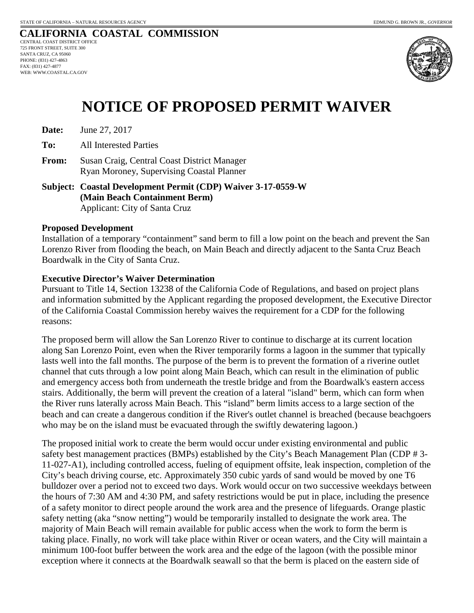

# **NOTICE OF PROPOSED PERMIT WAIVER**

**Date:** June 27, 2017

**To:** All Interested Parties

**From:** Susan Craig, Central Coast District Manager Ryan Moroney, Supervising Coastal Planner

**Subject: Coastal Development Permit (CDP) Waiver 3-17-0559-W (Main Beach Containment Berm)** Applicant: City of Santa Cruz

#### **Proposed Development**

Installation of a temporary "containment" sand berm to fill a low point on the beach and prevent the San Lorenzo River from flooding the beach, on Main Beach and directly adjacent to the Santa Cruz Beach Boardwalk in the City of Santa Cruz.

#### **Executive Director's Waiver Determination**

Pursuant to Title 14, Section 13238 of the California Code of Regulations, and based on project plans and information submitted by the Applicant regarding the proposed development, the Executive Director of the California Coastal Commission hereby waives the requirement for a CDP for the following reasons:

The proposed berm will allow the San Lorenzo River to continue to discharge at its current location along San Lorenzo Point, even when the River temporarily forms a lagoon in the summer that typically lasts well into the fall months. The purpose of the berm is to prevent the formation of a riverine outlet channel that cuts through a low point along Main Beach, which can result in the elimination of public and emergency access both from underneath the trestle bridge and from the Boardwalk's eastern access stairs. Additionally, the berm will prevent the creation of a lateral "island" berm, which can form when the River runs laterally across Main Beach. This "island" berm limits access to a large section of the beach and can create a dangerous condition if the River's outlet channel is breached (because beachgoers who may be on the island must be evacuated through the swiftly dewatering lagoon.)

The proposed initial work to create the berm would occur under existing environmental and public safety best management practices (BMPs) established by the City's Beach Management Plan (CDP # 3- 11-027-A1), including controlled access, fueling of equipment offsite, leak inspection, completion of the City's beach driving course, etc. Approximately 350 cubic yards of sand would be moved by one T6 bulldozer over a period not to exceed two days. Work would occur on two successive weekdays between the hours of 7:30 AM and 4:30 PM, and safety restrictions would be put in place, including the presence of a safety monitor to direct people around the work area and the presence of lifeguards. Orange plastic safety netting (aka "snow netting") would be temporarily installed to designate the work area. The majority of Main Beach will remain available for public access when the work to form the berm is taking place. Finally, no work will take place within River or ocean waters, and the City will maintain a minimum 100-foot buffer between the work area and the edge of the lagoon (with the possible minor exception where it connects at the Boardwalk seawall so that the berm is placed on the eastern side of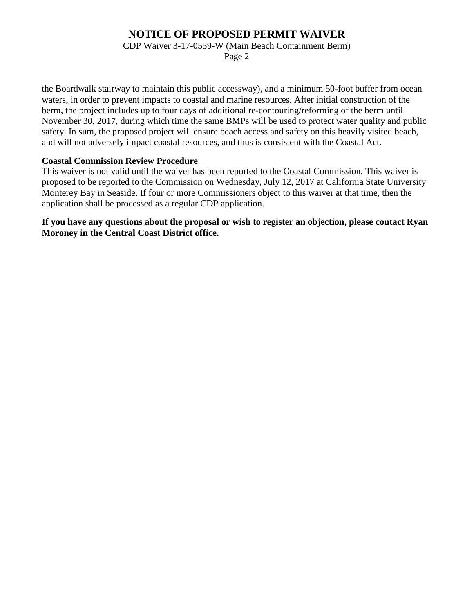### **NOTICE OF PROPOSED PERMIT WAIVER**

CDP Waiver 3-17-0559-W (Main Beach Containment Berm)

Page 2

the Boardwalk stairway to maintain this public accessway), and a minimum 50-foot buffer from ocean waters, in order to prevent impacts to coastal and marine resources. After initial construction of the berm, the project includes up to four days of additional re-contouring/reforming of the berm until November 30, 2017, during which time the same BMPs will be used to protect water quality and public safety. In sum, the proposed project will ensure beach access and safety on this heavily visited beach, and will not adversely impact coastal resources, and thus is consistent with the Coastal Act.

#### **Coastal Commission Review Procedure**

This waiver is not valid until the waiver has been reported to the Coastal Commission. This waiver is proposed to be reported to the Commission on Wednesday, July 12, 2017 at California State University Monterey Bay in Seaside. If four or more Commissioners object to this waiver at that time, then the application shall be processed as a regular CDP application.

**If you have any questions about the proposal or wish to register an objection, please contact Ryan Moroney in the Central Coast District office.**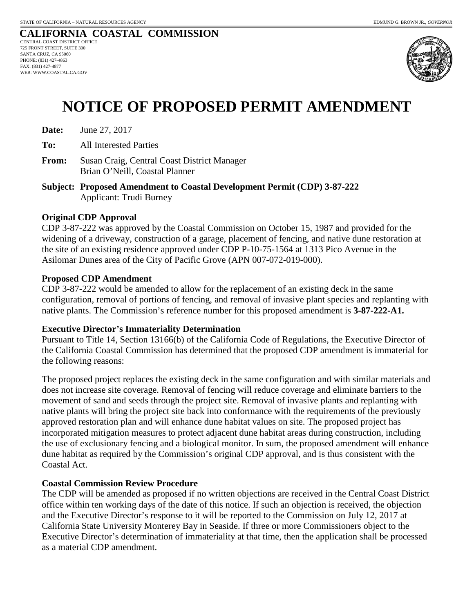

# **NOTICE OF PROPOSED PERMIT AMENDMENT**

| Date: | June 27, 2017 |
|-------|---------------|
|-------|---------------|

**To:** All Interested Parties

- **From:** Susan Craig, Central Coast District Manager Brian O'Neill, Coastal Planner
- **Subject: Proposed Amendment to Coastal Development Permit (CDP) 3-87-222**  Applicant: Trudi Burney

#### **Original CDP Approval**

CDP 3-87-222 was approved by the Coastal Commission on October 15, 1987 and provided for the widening of a driveway, construction of a garage, placement of fencing, and native dune restoration at the site of an existing residence approved under CDP P-10-75-1564 at 1313 Pico Avenue in the Asilomar Dunes area of the City of Pacific Grove (APN 007-072-019-000).

#### **Proposed CDP Amendment**

CDP 3-87-222 would be amended to allow for the replacement of an existing deck in the same configuration, removal of portions of fencing, and removal of invasive plant species and replanting with native plants. The Commission's reference number for this proposed amendment is **3-87-222-A1.**

#### **Executive Director's Immateriality Determination**

Pursuant to Title 14, Section 13166(b) of the California Code of Regulations, the Executive Director of the California Coastal Commission has determined that the proposed CDP amendment is immaterial for the following reasons:

The proposed project replaces the existing deck in the same configuration and with similar materials and does not increase site coverage. Removal of fencing will reduce coverage and eliminate barriers to the movement of sand and seeds through the project site. Removal of invasive plants and replanting with native plants will bring the project site back into conformance with the requirements of the previously approved restoration plan and will enhance dune habitat values on site. The proposed project has incorporated mitigation measures to protect adjacent dune habitat areas during construction, including the use of exclusionary fencing and a biological monitor. In sum, the proposed amendment will enhance dune habitat as required by the Commission's original CDP approval, and is thus consistent with the Coastal Act.

#### **Coastal Commission Review Procedure**

The CDP will be amended as proposed if no written objections are received in the Central Coast District office within ten working days of the date of this notice. If such an objection is received, the objection and the Executive Director's response to it will be reported to the Commission on July 12, 2017 at California State University Monterey Bay in Seaside. If three or more Commissioners object to the Executive Director's determination of immateriality at that time, then the application shall be processed as a material CDP amendment.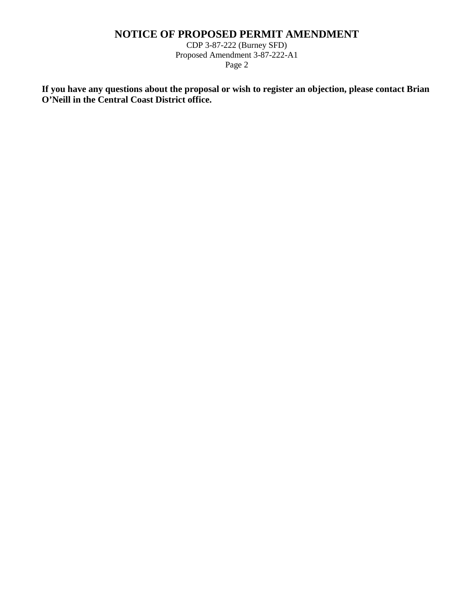### **NOTICE OF PROPOSED PERMIT AMENDMENT**

CDP 3-87-222 (Burney SFD) Proposed Amendment 3-87-222-A1 Page 2

**If you have any questions about the proposal or wish to register an objection, please contact Brian O'Neill in the Central Coast District office.**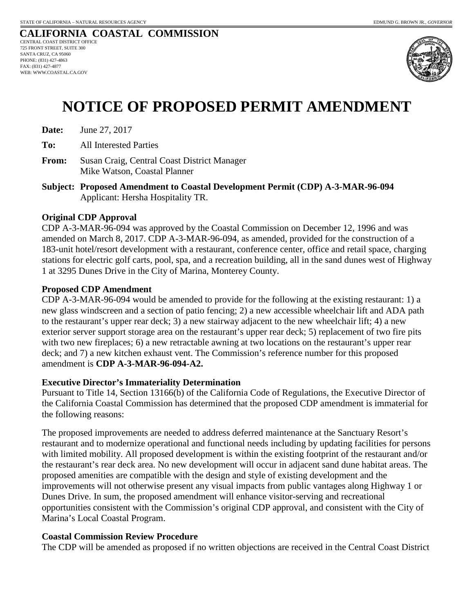

# **NOTICE OF PROPOSED PERMIT AMENDMENT**

| Date: | June 27, 2017 |
|-------|---------------|
|-------|---------------|

**To:** All Interested Parties

- **From:** Susan Craig, Central Coast District Manager Mike Watson, Coastal Planner
- **Subject: Proposed Amendment to Coastal Development Permit (CDP) A-3-MAR-96-094**  Applicant: Hersha Hospitality TR.

#### **Original CDP Approval**

CDP A-3-MAR-96-094 was approved by the Coastal Commission on December 12, 1996 and was amended on March 8, 2017. CDP A-3-MAR-96-094, as amended, provided for the construction of a 183-unit hotel/resort development with a restaurant, conference center, office and retail space, charging stations for electric golf carts, pool, spa, and a recreation building, all in the sand dunes west of Highway 1 at 3295 Dunes Drive in the City of Marina, Monterey County.

#### **Proposed CDP Amendment**

CDP A-3-MAR-96-094 would be amended to provide for the following at the existing restaurant: 1) a new glass windscreen and a section of patio fencing; 2) a new accessible wheelchair lift and ADA path to the restaurant's upper rear deck; 3) a new stairway adjacent to the new wheelchair lift; 4) a new exterior server support storage area on the restaurant's upper rear deck; 5) replacement of two fire pits with two new fireplaces; 6) a new retractable awning at two locations on the restaurant's upper rear deck; and 7) a new kitchen exhaust vent. The Commission's reference number for this proposed amendment is **CDP A-3-MAR-96-094-A2.**

#### **Executive Director's Immateriality Determination**

Pursuant to Title 14, Section 13166(b) of the California Code of Regulations, the Executive Director of the California Coastal Commission has determined that the proposed CDP amendment is immaterial for the following reasons:

The proposed improvements are needed to address deferred maintenance at the Sanctuary Resort's restaurant and to modernize operational and functional needs including by updating facilities for persons with limited mobility. All proposed development is within the existing footprint of the restaurant and/or the restaurant's rear deck area. No new development will occur in adjacent sand dune habitat areas. The proposed amenities are compatible with the design and style of existing development and the improvements will not otherwise present any visual impacts from public vantages along Highway 1 or Dunes Drive. In sum, the proposed amendment will enhance visitor-serving and recreational opportunities consistent with the Commission's original CDP approval, and consistent with the City of Marina's Local Coastal Program.

#### **Coastal Commission Review Procedure**

The CDP will be amended as proposed if no written objections are received in the Central Coast District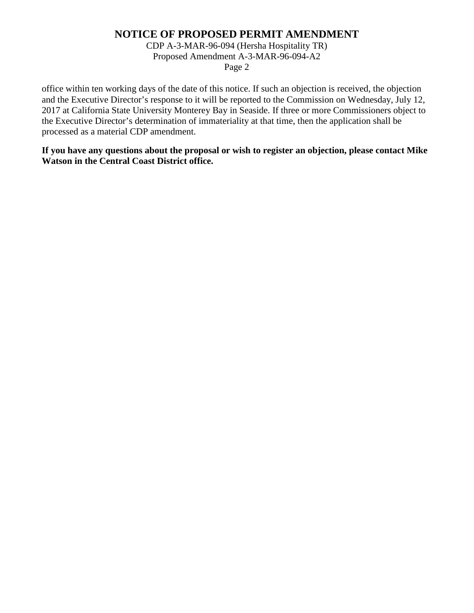### **NOTICE OF PROPOSED PERMIT AMENDMENT**

CDP A-3-MAR-96-094 (Hersha Hospitality TR) Proposed Amendment A-3-MAR-96-094-A2

Page 2

office within ten working days of the date of this notice. If such an objection is received, the objection and the Executive Director's response to it will be reported to the Commission on Wednesday, July 12, 2017 at California State University Monterey Bay in Seaside. If three or more Commissioners object to the Executive Director's determination of immateriality at that time, then the application shall be processed as a material CDP amendment.

**If you have any questions about the proposal or wish to register an objection, please contact Mike Watson in the Central Coast District office.**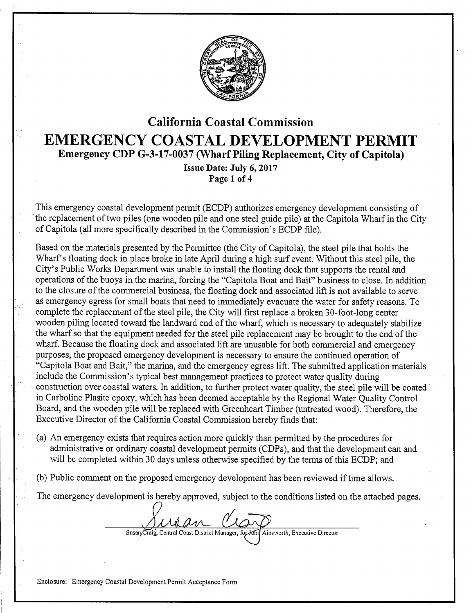

## **California Coastal Commission EMERGENCY COASTAL DEVELOPMENT PERMIT** Emergency CDP G-3-17-0037 (Wharf Piling Replacement, City of Capitola) Issue Date: July 6, 2017 Page 1 of 4

This emergency coastal development permit (ECDP) authorizes emergency development consisting of the replacement of two piles (one wooden pile and one steel guide pile) at the Capitola Wharf in the City of Capitola (all more specifically described in the Commission's ECDP file).

Based on the materials presented by the Permittee (the City of Capitola), the steel pile that holds the Wharf's floating dock in place broke in late April during a high surf event. Without this steel pile, the City's Public Works Department was unable to install the floating dock that supports the rental and operations of the buoys in the marina, forcing the "Capitola Boat and Bait" business to close. In addition to the closure of the commercial business, the floating dock and associated lift is not available to serve as emergency egress for small boats that need to immediately evacuate the water for safety reasons. To complete the replacement of the steel pile, the City will first replace a broken 30-foot-long center wooden piling located toward the landward end of the wharf, which is necessary to adequately stabilize the wharf so that the equipment needed for the steel pile replacement may be brought to the end of the wharf. Because the floating dock and associated lift are unusable for both commercial and emergency purposes, the proposed emergency development is necessary to ensure the continued operation of "Capitola Boat and Bait," the marina, and the emergency egress lift. The submitted application materials include the Commission's typical best management practices to protect water quality during construction over coastal waters. In addition, to further protect water quality, the steel pile will be coated in Carboline Plasite epoxy, which has been deemed acceptable by the Regional Water Quality Control Board, and the wooden pile will be replaced with Greenheart Timber (untreated wood). Therefore, the Executive Director of the California Coastal Commission hereby finds that:

(a) An emergency exists that requires action more quickly than permitted by the procedures for administrative or ordinary coastal development permits (CDPs), and that the development can and will be completed within 30 days unless otherwise specified by the terms of this ECDP; and

(b) Public comment on the proposed emergency development has been reviewed if time allows.

The emergency development is hereby approved, subject to the conditions listed on the attached pages.

Susan, Craig, Central Coast District Manager, for Jo Ainsworth, Executive Director

Enclosure: Emergency Coastal Development Permit Acceptance Form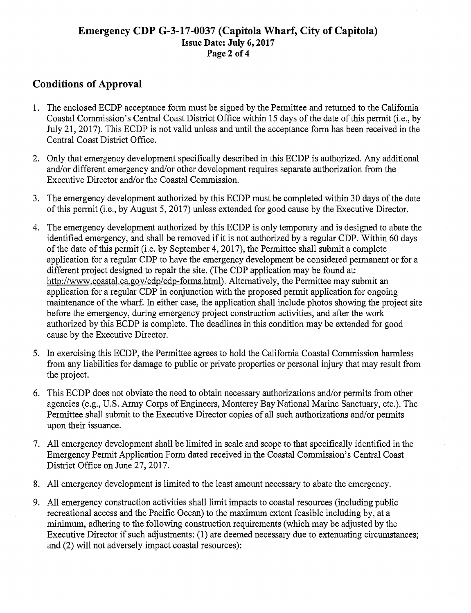### Emergency CDP G-3-17-0037 (Capitola Wharf, City of Capitola) Issue Date: July 6, 2017 Page 2 of 4

### **Conditions of Approval**

- 1. The enclosed ECDP acceptance form must be signed by the Permittee and returned to the California Coastal Commission's Central Coast District Office within 15 days of the date of this permit (i.e., by July 21, 2017). This ECDP is not valid unless and until the acceptance form has been received in the Central Coast District Office.
- 2. Only that emergency development specifically described in this ECDP is authorized. Any additional and/or different emergency and/or other development requires separate authorization from the Executive Director and/or the Coastal Commission.
- 3. The emergency development authorized by this ECDP must be completed within 30 days of the date of this permit (i.e., by August 5, 2017) unless extended for good cause by the Executive Director.
- 4. The emergency development authorized by this ECDP is only temporary and is designed to abate the identified emergency, and shall be removed if it is not authorized by a regular CDP. Within 60 days of the date of this permit (i.e. by September 4, 2017), the Permittee shall submit a complete application for a regular CDP to have the emergency development be considered permanent or for a different project designed to repair the site. (The CDP application may be found at: http://www.coastal.ca.gov/cdp/cdp-forms.html). Alternatively, the Permittee may submit an application for a regular CDP in conjunction with the proposed permit application for ongoing maintenance of the wharf. In either case, the application shall include photos showing the project site before the emergency, during emergency project construction activities, and after the work authorized by this ECDP is complete. The deadlines in this condition may be extended for good cause by the Executive Director.
- 5. In exercising this ECDP, the Permittee agrees to hold the California Coastal Commission harmless from any liabilities for damage to public or private properties or personal injury that may result from the project.
- 6. This ECDP does not obviate the need to obtain necessary authorizations and/or permits from other agencies (e.g., U.S. Army Corps of Engineers, Monterey Bay National Marine Sanctuary, etc.). The Permittee shall submit to the Executive Director copies of all such authorizations and/or permits upon their issuance.
- 7. All emergency development shall be limited in scale and scope to that specifically identified in the Emergency Permit Application Form dated received in the Coastal Commission's Central Coast District Office on June 27, 2017.
- 8. All emergency development is limited to the least amount necessary to abate the emergency.
- 9. All emergency construction activities shall limit impacts to coastal resources (including public recreational access and the Pacific Ocean) to the maximum extent feasible including by, at a minimum, adhering to the following construction requirements (which may be adjusted by the Executive Director if such adjustments: (1) are deemed necessary due to extenuating circumstances; and (2) will not adversely impact coastal resources):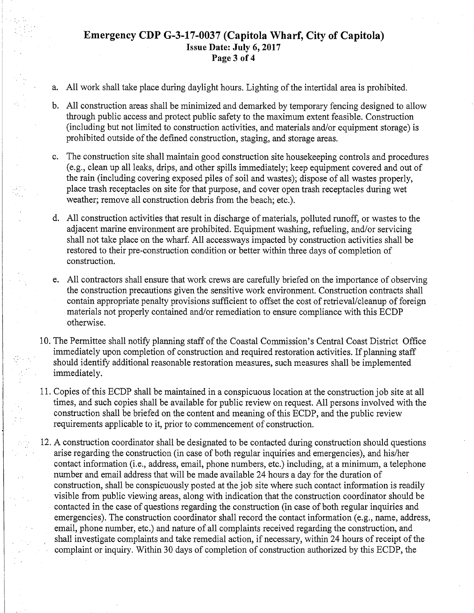#### Emergency CDP G-3-17-0037 (Capitola Wharf, City of Capitola) Issue Date: July 6, 2017 Page 3 of 4

- All work shall take place during daylight hours. Lighting of the intertidal area is prohibited.
- b. All construction areas shall be minimized and demarked by temporary fencing designed to allow through public access and protect public safety to the maximum extent feasible. Construction (including but not limited to construction activities, and materials and/or equipment storage) is prohibited outside of the defined construction, staging, and storage areas.
- c. The construction site shall maintain good construction site house keeping controls and procedures (e.g., clean up all leaks, drips, and other spills immediately; keep equipment covered and out of the rain (including covering exposed piles of soil and wastes); dispose of all wastes properly, place trash receptacles on site for that purpose, and cover open trash receptacles during wet weather; remove all construction debris from the beach; etc.).
- d. All construction activities that result in discharge of materials, polluted runoff, or wastes to the adjacent marine environment are prohibited. Equipment washing, refueling, and/or servicing shall not take place on the wharf. All accessways impacted by construction activities shall be restored to their pre-construction condition or better within three days of completion of construction.
- e. All contractors shall ensure that work crews are carefully briefed on the importance of observing the construction precautions given the sensitive work environment. Construction contracts shall contain appropriate penalty provisions sufficient to offset the cost of retrieval/cleanup of foreign materials not properly contained and/or remediation to ensure compliance with this ECDP otherwise.
- 10. The Permittee shall notify planning staff of the Coastal Commission's Central Coast District Office immediately upon completion of construction and required restoration activities. If planning staff should identify additional reasonable restoration measures, such measures shall be implemented immediately.
- 11. Copies of this ECDP shall be maintained in a conspicuous location at the construction job site at all times, and such copies shall be available for public review on request. All persons involved with the construction shall be briefed on the content and meaning of this ECDP, and the public review requirements applicable to it, prior to commencement of construction.

12. A construction coordinator shall be designated to be contacted during construction should questions arise regarding the construction (in case of both regular inquiries and emergencies), and his/her contact information (i.e., address, email, phone numbers, etc.) including, at a minimum, a telephone number and email address that will be made available 24 hours a day for the duration of construction, shall be conspicuously posted at the job site where such contact information is readily visible from public viewing areas, along with indication that the construction coordinator should be contacted in the case of questions regarding the construction (in case of both regular inquiries and emergencies). The construction coordinator shall record the contact information (e.g., name, address, email, phone number, etc.) and nature of all complaints received regarding the construction, and shall investigate complaints and take remedial action, if necessary, within 24 hours of receipt of the complaint or inquiry. Within 30 days of completion of construction authorized by this ECDP, the